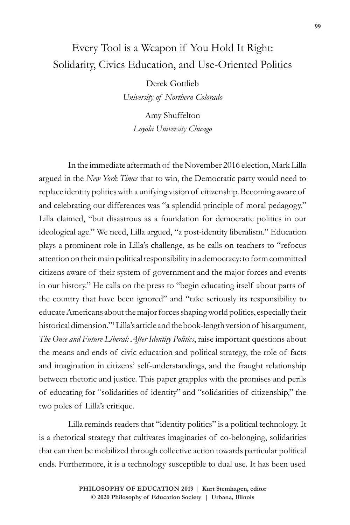## Every Tool is a Weapon if You Hold It Right: Solidarity, Civics Education, and Use-Oriented Politics

Derek Gottlieb

*University of Northern Colorado*

Amy Shuffelton *Loyola University Chicago*

In the immediate aftermath of the November 2016 election, Mark Lilla argued in the *New York Times* that to win, the Democratic party would need to replace identity politics with a unifying vision of citizenship. Becoming aware of and celebrating our differences was "a splendid principle of moral pedagogy," Lilla claimed, "but disastrous as a foundation for democratic politics in our ideological age." We need, Lilla argued, "a post-identity liberalism." Education plays a prominent role in Lilla's challenge, as he calls on teachers to "refocus attention on their main political responsibility in a democracy: to form committed citizens aware of their system of government and the major forces and events in our history." He calls on the press to "begin educating itself about parts of the country that have been ignored" and "take seriously its responsibility to educate Americans about the major forces shaping world politics, especially their historical dimension."1 Lilla's article and the book-length version of his argument, *The Once and Future Liberal: After Identity Politics*, raise important questions about the means and ends of civic education and political strategy, the role of facts and imagination in citizens' self-understandings, and the fraught relationship between rhetoric and justice. This paper grapples with the promises and perils of educating for "solidarities of identity" and "solidarities of citizenship," the two poles of Lilla's critique.

Lilla reminds readers that "identity politics" is a political technology. It is a rhetorical strategy that cultivates imaginaries of co-belonging, solidarities that can then be mobilized through collective action towards particular political ends. Furthermore, it is a technology susceptible to dual use. It has been used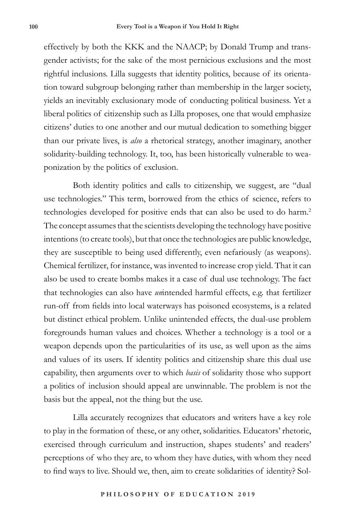effectively by both the KKK and the NAACP; by Donald Trump and transgender activists; for the sake of the most pernicious exclusions and the most rightful inclusions. Lilla suggests that identity politics, because of its orientation toward subgroup belonging rather than membership in the larger society, yields an inevitably exclusionary mode of conducting political business. Yet a liberal politics of citizenship such as Lilla proposes, one that would emphasize citizens' duties to one another and our mutual dedication to something bigger than our private lives, is *also* a rhetorical strategy, another imaginary, another solidarity-building technology. It, too, has been historically vulnerable to weaponization by the politics of exclusion.

Both identity politics and calls to citizenship, we suggest, are "dual use technologies." This term, borrowed from the ethics of science, refers to technologies developed for positive ends that can also be used to do harm.<sup>2</sup> The concept assumes that the scientists developing the technology have positive intentions (to create tools), but that once the technologies are public knowledge, they are susceptible to being used differently, even nefariously (as weapons). Chemical fertilizer, for instance, was invented to increase crop yield. That it can also be used to create bombs makes it a case of dual use technology. The fact that technologies can also have *un*intended harmful effects, e.g. that fertilizer run-off from fields into local waterways has poisoned ecosystems, is a related but distinct ethical problem. Unlike unintended effects, the dual-use problem foregrounds human values and choices. Whether a technology is a tool or a weapon depends upon the particularities of its use, as well upon as the aims and values of its users. If identity politics and citizenship share this dual use capability, then arguments over to which *basis* of solidarity those who support a politics of inclusion should appeal are unwinnable. The problem is not the basis but the appeal, not the thing but the use.

Lilla accurately recognizes that educators and writers have a key role to play in the formation of these, or any other, solidarities. Educators' rhetoric, exercised through curriculum and instruction, shapes students' and readers' perceptions of who they are, to whom they have duties, with whom they need to find ways to live. Should we, then, aim to create solidarities of identity? Sol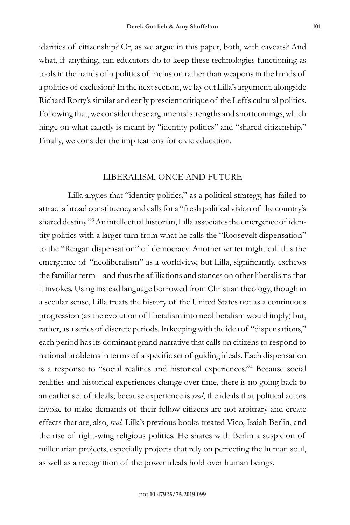idarities of citizenship? Or, as we argue in this paper, both, with caveats? And what, if anything, can educators do to keep these technologies functioning as tools in the hands of a politics of inclusion rather than weapons in the hands of a politics of exclusion? In the next section, we lay out Lilla's argument, alongside Richard Rorty's similar and eerily prescient critique of the Left's cultural politics. Following that, we consider these arguments' strengths and shortcomings, which hinge on what exactly is meant by "identity politics" and "shared citizenship." Finally, we consider the implications for civic education.

## LIBERALISM, ONCE AND FUTURE

Lilla argues that "identity politics," as a political strategy, has failed to attract a broad constituency and calls for a "fresh political vision of the country's shared destiny."3 An intellectual historian, Lilla associates the emergence of identity politics with a larger turn from what he calls the "Roosevelt dispensation" to the "Reagan dispensation" of democracy. Another writer might call this the emergence of "neoliberalism" as a worldview, but Lilla, significantly, eschews the familiar term – and thus the affiliations and stances on other liberalisms that it invokes. Using instead language borrowed from Christian theology, though in a secular sense, Lilla treats the history of the United States not as a continuous progression (as the evolution of liberalism into neoliberalism would imply) but, rather, as a series of discrete periods. In keeping with the idea of "dispensations," each period has its dominant grand narrative that calls on citizens to respond to national problems in terms of a specific set of guiding ideals. Each dispensation is a response to "social realities and historical experiences."4 Because social realities and historical experiences change over time, there is no going back to an earlier set of ideals; because experience is *real*, the ideals that political actors invoke to make demands of their fellow citizens are not arbitrary and create effects that are, also, *real*. Lilla's previous books treated Vico, Isaiah Berlin, and the rise of right-wing religious politics. He shares with Berlin a suspicion of millenarian projects, especially projects that rely on perfecting the human soul, as well as a recognition of the power ideals hold over human beings.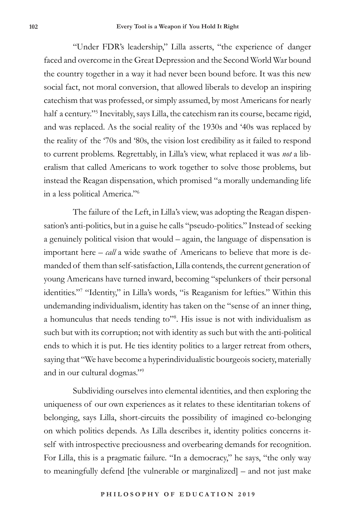"Under FDR's leadership," Lilla asserts, "the experience of danger faced and overcome in the Great Depression and the Second World War bound the country together in a way it had never been bound before. It was this new social fact, not moral conversion, that allowed liberals to develop an inspiring catechism that was professed, or simply assumed, by most Americans for nearly half a century."5 Inevitably, says Lilla, the catechism ran its course, became rigid, and was replaced. As the social reality of the 1930s and '40s was replaced by the reality of the '70s and '80s, the vision lost credibility as it failed to respond to current problems. Regrettably, in Lilla's view, what replaced it was *not* a liberalism that called Americans to work together to solve those problems, but instead the Reagan dispensation, which promised "a morally undemanding life in a less political America."6

The failure of the Left, in Lilla's view, was adopting the Reagan dispensation's anti-politics, but in a guise he calls "pseudo-politics." Instead of seeking a genuinely political vision that would – again, the language of dispensation is important here – *call* a wide swathe of Americans to believe that more is demanded of them than self-satisfaction, Lilla contends, the current generation of young Americans have turned inward, becoming "spelunkers of their personal identities."7 "Identity," in Lilla's words, "is Reaganism for lefties." Within this undemanding individualism, identity has taken on the "sense of an inner thing, a homunculus that needs tending to<sup>38</sup>. His issue is not with individualism as such but with its corruption; not with identity as such but with the anti-political ends to which it is put. He ties identity politics to a larger retreat from others, saying that "We have become a hyperindividualistic bourgeois society, materially and in our cultural dogmas."9

Subdividing ourselves into elemental identities, and then exploring the uniqueness of our own experiences as it relates to these identitarian tokens of belonging, says Lilla, short-circuits the possibility of imagined co-belonging on which politics depends. As Lilla describes it, identity politics concerns itself with introspective preciousness and overbearing demands for recognition. For Lilla, this is a pragmatic failure. "In a democracy," he says, "the only way to meaningfully defend [the vulnerable or marginalized] – and not just make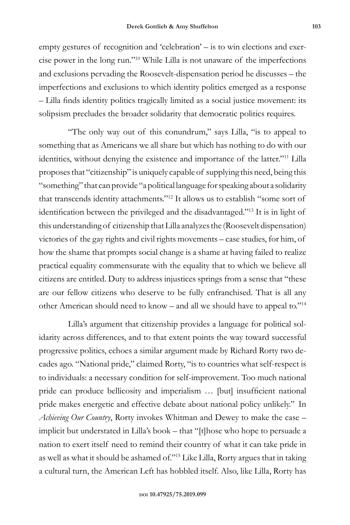empty gestures of recognition and 'celebration' – is to win elections and exercise power in the long run."10 While Lilla is not unaware of the imperfections and exclusions pervading the Roosevelt-dispensation period he discusses – the imperfections and exclusions to which identity politics emerged as a response – Lilla finds identity politics tragically limited as a social justice movement: its solipsism precludes the broader solidarity that democratic politics requires.

"The only way out of this conundrum," says Lilla, "is to appeal to something that as Americans we all share but which has nothing to do with our identities, without denying the existence and importance of the latter."11 Lilla proposes that "citizenship" is uniquely capable of supplying this need, being this "something" that can provide "a political language for speaking about a solidarity that transcends identity attachments."12 It allows us to establish "some sort of identification between the privileged and the disadvantaged."13 It is in light of this understanding of citizenship that Lilla analyzes the (Roosevelt dispensation) victories of the gay rights and civil rights movements – case studies, for him, of how the shame that prompts social change is a shame at having failed to realize practical equality commensurate with the equality that to which we believe all citizens are entitled. Duty to address injustices springs from a sense that "these are our fellow citizens who deserve to be fully enfranchised. That is all any other American should need to know – and all we should have to appeal to."14

Lilla's argument that citizenship provides a language for political solidarity across differences, and to that extent points the way toward successful progressive politics, echoes a similar argument made by Richard Rorty two decades ago. "National pride," claimed Rorty, "is to countries what self-respect is to individuals: a necessary condition for self-improvement. Too much national pride can produce bellicosity and imperialism … [but] insufficient national pride makes energetic and effective debate about national policy unlikely." In *Achieving Our Country*, Rorty invokes Whitman and Dewey to make the case – implicit but understated in Lilla's book – that "[t]hose who hope to persuade a nation to exert itself need to remind their country of what it can take pride in as well as what it should be ashamed of."15 Like Lilla, Rorty argues that in taking a cultural turn, the American Left has hobbled itself. Also, like Lilla, Rorty has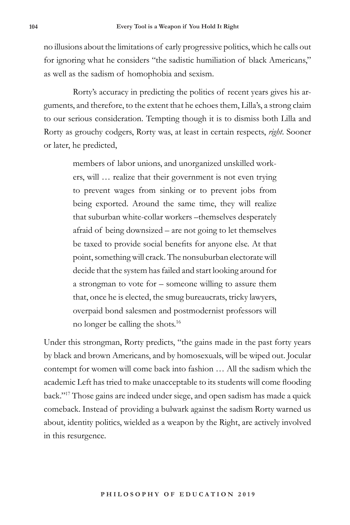no illusions about the limitations of early progressive politics, which he calls out for ignoring what he considers "the sadistic humiliation of black Americans," as well as the sadism of homophobia and sexism.

Rorty's accuracy in predicting the politics of recent years gives his arguments, and therefore, to the extent that he echoes them, Lilla's, a strong claim to our serious consideration. Tempting though it is to dismiss both Lilla and Rorty as grouchy codgers, Rorty was, at least in certain respects, *right*. Sooner or later, he predicted,

> members of labor unions, and unorganized unskilled workers, will … realize that their government is not even trying to prevent wages from sinking or to prevent jobs from being exported. Around the same time, they will realize that suburban white-collar workers –themselves desperately afraid of being downsized – are not going to let themselves be taxed to provide social benefits for anyone else. At that point, something will crack. The nonsuburban electorate will decide that the system has failed and start looking around for a strongman to vote for – someone willing to assure them that, once he is elected, the smug bureaucrats, tricky lawyers, overpaid bond salesmen and postmodernist professors will no longer be calling the shots.16

Under this strongman, Rorty predicts, "the gains made in the past forty years by black and brown Americans, and by homosexuals, will be wiped out. Jocular contempt for women will come back into fashion … All the sadism which the academic Left has tried to make unacceptable to its students will come flooding back."17 Those gains are indeed under siege, and open sadism has made a quick comeback. Instead of providing a bulwark against the sadism Rorty warned us about, identity politics, wielded as a weapon by the Right, are actively involved in this resurgence.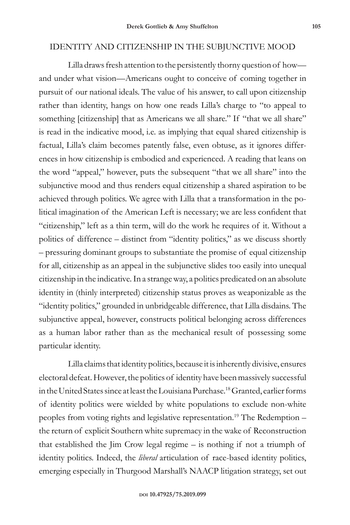## IDENTITY AND CITIZENSHIP IN THE SUBJUNCTIVE MOOD

Lilla draws fresh attention to the persistently thorny question of how and under what vision—Americans ought to conceive of coming together in pursuit of our national ideals. The value of his answer, to call upon citizenship rather than identity, hangs on how one reads Lilla's charge to "to appeal to something [citizenship] that as Americans we all share." If "that we all share" is read in the indicative mood, i.e. as implying that equal shared citizenship is factual, Lilla's claim becomes patently false, even obtuse, as it ignores differences in how citizenship is embodied and experienced. A reading that leans on the word "appeal," however, puts the subsequent "that we all share" into the subjunctive mood and thus renders equal citizenship a shared aspiration to be achieved through politics. We agree with Lilla that a transformation in the political imagination of the American Left is necessary; we are less confident that "citizenship," left as a thin term, will do the work he requires of it. Without a politics of difference – distinct from "identity politics," as we discuss shortly – pressuring dominant groups to substantiate the promise of equal citizenship for all, citizenship as an appeal in the subjunctive slides too easily into unequal citizenship in the indicative. In a strange way, a politics predicated on an absolute identity in (thinly interpreted) citizenship status proves as weaponizable as the "identity politics," grounded in unbridgeable difference, that Lilla disdains. The subjunctive appeal, however, constructs political belonging across differences as a human labor rather than as the mechanical result of possessing some particular identity.

Lilla claims that identity politics, because it is inherently divisive, ensures electoral defeat. However, the politics of identity have been massively successful in the United States since at least the Louisiana Purchase.18 Granted, earlier forms of identity politics were wielded by white populations to exclude non-white peoples from voting rights and legislative representation.19 The Redemption – the return of explicit Southern white supremacy in the wake of Reconstruction that established the Jim Crow legal regime – is nothing if not a triumph of identity politics. Indeed, the *liberal* articulation of race-based identity politics, emerging especially in Thurgood Marshall's NAACP litigation strategy, set out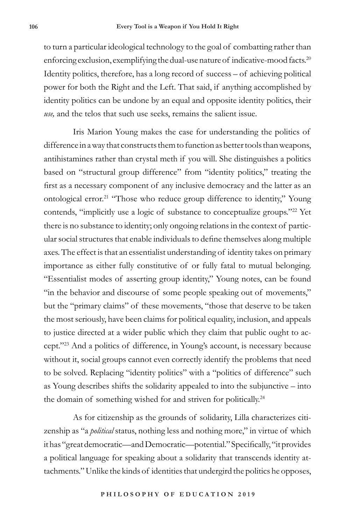to turn a particular ideological technology to the goal of combatting rather than enforcing exclusion, exemplifying the dual-use nature of indicative-mood facts.<sup>20</sup> Identity politics, therefore, has a long record of success – of achieving political power for both the Right and the Left. That said, if anything accomplished by identity politics can be undone by an equal and opposite identity politics, their *use,* and the telos that such use seeks, remains the salient issue.

Iris Marion Young makes the case for understanding the politics of difference in a way that constructs them to function as better tools than weapons, antihistamines rather than crystal meth if you will. She distinguishes a politics based on "structural group difference" from "identity politics," treating the first as a necessary component of any inclusive democracy and the latter as an ontological error.<sup>21</sup> "Those who reduce group difference to identity," Young contends, "implicitly use a logic of substance to conceptualize groups."<sup>22</sup> Yet there is no substance to identity; only ongoing relations in the context of particular social structures that enable individuals to define themselves along multiple axes. The effect is that an essentialist understanding of identity takes on primary importance as either fully constitutive of or fully fatal to mutual belonging. "Essentialist modes of asserting group identity," Young notes, can be found "in the behavior and discourse of some people speaking out of movements," but the "primary claims" of these movements, "those that deserve to be taken the most seriously, have been claims for political equality, inclusion, and appeals to justice directed at a wider public which they claim that public ought to accept."23 And a politics of difference, in Young's account, is necessary because without it, social groups cannot even correctly identify the problems that need to be solved. Replacing "identity politics" with a "politics of difference" such as Young describes shifts the solidarity appealed to into the subjunctive – into the domain of something wished for and striven for politically.<sup>24</sup>

As for citizenship as the grounds of solidarity, Lilla characterizes citizenship as "a *political* status, nothing less and nothing more," in virtue of which it has "great democratic—and Democratic—potential." Specifically, "it provides a political language for speaking about a solidarity that transcends identity attachments." Unlike the kinds of identities that undergird the politics he opposes,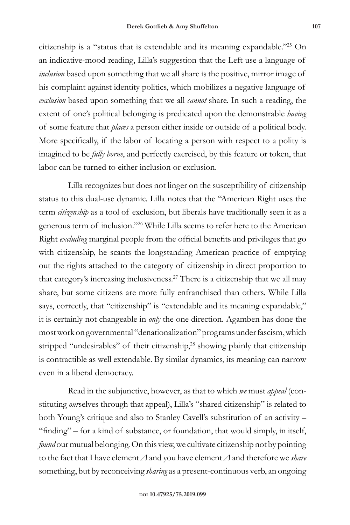citizenship is a "status that is extendable and its meaning expandable."25 On an indicative-mood reading, Lilla's suggestion that the Left use a language of *inclusion* based upon something that we all share is the positive, mirror image of his complaint against identity politics, which mobilizes a negative language of *exclusion* based upon something that we all *cannot* share. In such a reading, the extent of one's political belonging is predicated upon the demonstrable *having* of some feature that *places* a person either inside or outside of a political body. More specifically, if the labor of locating a person with respect to a polity is imagined to be *fully borne*, and perfectly exercised, by this feature or token, that labor can be turned to either inclusion or exclusion.

Lilla recognizes but does not linger on the susceptibility of citizenship status to this dual-use dynamic. Lilla notes that the "American Right uses the term *citizenship* as a tool of exclusion, but liberals have traditionally seen it as a generous term of inclusion."26 While Lilla seems to refer here to the American Right *excluding* marginal people from the official benefits and privileges that go with citizenship, he scants the longstanding American practice of emptying out the rights attached to the category of citizenship in direct proportion to that category's increasing inclusiveness.27 There is a citizenship that we all may share, but some citizens are more fully enfranchised than others. While Lilla says, correctly, that "citizenship" is "extendable and its meaning expandable," it is certainly not changeable in *only* the one direction. Agamben has done the most work on governmental "denationalization" programs under fascism, which stripped "undesirables" of their citizenship,<sup>28</sup> showing plainly that citizenship is contractible as well extendable. By similar dynamics, its meaning can narrow even in a liberal democracy.

Read in the subjunctive, however, as that to which *we* must *appeal* (constituting *our*selves through that appeal), Lilla's "shared citizenship" is related to both Young's critique and also to Stanley Cavell's substitution of an activity – "finding" – for a kind of substance, or foundation, that would simply, in itself, *found* our mutual belonging. On this view, we cultivate citizenship not by pointing to the fact that I have element *A* and you have element *A* and therefore we *share* something, but by reconceiving *sharing* as a present-continuous verb, an ongoing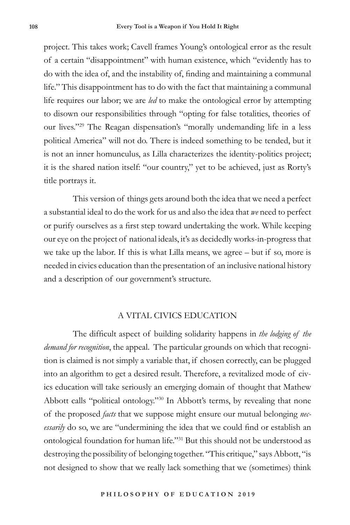project. This takes work; Cavell frames Young's ontological error as the result of a certain "disappointment" with human existence, which "evidently has to do with the idea of, and the instability of, finding and maintaining a communal life." This disappointment has to do with the fact that maintaining a communal life requires our labor; we are *led* to make the ontological error by attempting to disown our responsibilities through "opting for false totalities, theories of our lives."29 The Reagan dispensation's "morally undemanding life in a less political America" will not do. There is indeed something to be tended, but it is not an inner homunculus, as Lilla characterizes the identity-politics project; it is the shared nation itself: "our country," yet to be achieved, just as Rorty's title portrays it.

This version of things gets around both the idea that we need a perfect a substantial ideal to do the work for us and also the idea that *we* need to perfect or purify ourselves as a first step toward undertaking the work. While keeping our eye on the project of national ideals, it's as decidedly works-in-progress that we take up the labor. If this is what Lilla means, we agree – but if so, more is needed in civics education than the presentation of an inclusive national history and a description of our government's structure.

## A VITAL CIVICS EDUCATION

The difficult aspect of building solidarity happens in *the lodging of the demand for recognition*, the appeal. The particular grounds on which that recognition is claimed is not simply a variable that, if chosen correctly, can be plugged into an algorithm to get a desired result. Therefore, a revitalized mode of civics education will take seriously an emerging domain of thought that Mathew Abbott calls "political ontology."30 In Abbott's terms, by revealing that none of the proposed *facts* that we suppose might ensure our mutual belonging *necessarily* do so, we are "undermining the idea that we could find or establish an ontological foundation for human life."31 But this should not be understood as destroying the possibility of belonging together. "This critique," says Abbott, "is not designed to show that we really lack something that we (sometimes) think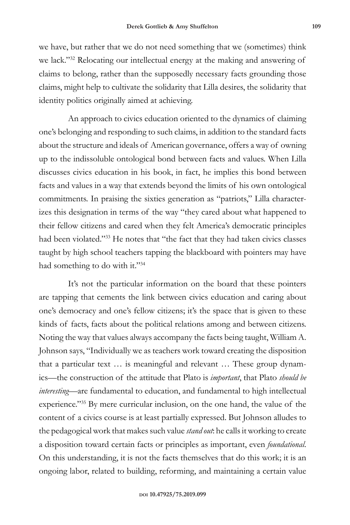we have, but rather that we do not need something that we (sometimes) think we lack."32 Relocating our intellectual energy at the making and answering of claims to belong, rather than the supposedly necessary facts grounding those claims, might help to cultivate the solidarity that Lilla desires, the solidarity that identity politics originally aimed at achieving.

An approach to civics education oriented to the dynamics of claiming one's belonging and responding to such claims, in addition to the standard facts about the structure and ideals of American governance, offers a way of owning up to the indissoluble ontological bond between facts and values. When Lilla discusses civics education in his book, in fact, he implies this bond between facts and values in a way that extends beyond the limits of his own ontological commitments. In praising the sixties generation as "patriots," Lilla characterizes this designation in terms of the way "they cared about what happened to their fellow citizens and cared when they felt America's democratic principles had been violated."33 He notes that "the fact that they had taken civics classes taught by high school teachers tapping the blackboard with pointers may have had something to do with it."34

It's not the particular information on the board that these pointers are tapping that cements the link between civics education and caring about one's democracy and one's fellow citizens; it's the space that is given to these kinds of facts, facts about the political relations among and between citizens. Noting the way that values always accompany the facts being taught, William A. Johnson says, "Individually we as teachers work toward creating the disposition that a particular text … is meaningful and relevant … These group dynamics—the construction of the attitude that Plato is *important*, that Plato *should be interesting*—are fundamental to education, and fundamental to high intellectual experience."35 By mere curricular inclusion, on the one hand, the value of the content of a civics course is at least partially expressed. But Johnson alludes to the pedagogical work that makes such value *stand out*: he calls it working to create a disposition toward certain facts or principles as important, even *foundational*. On this understanding, it is not the facts themselves that do this work; it is an ongoing labor, related to building, reforming, and maintaining a certain value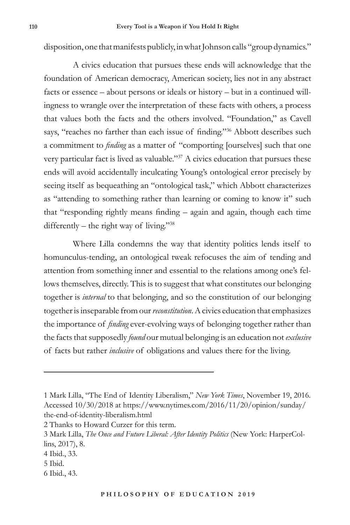disposition, one that manifests publicly, in what Johnson calls "group dynamics."

A civics education that pursues these ends will acknowledge that the foundation of American democracy, American society, lies not in any abstract facts or essence – about persons or ideals or history – but in a continued willingness to wrangle over the interpretation of these facts with others, a process that values both the facts and the others involved. "Foundation," as Cavell says, "reaches no farther than each issue of finding."<sup>36</sup> Abbott describes such a commitment to *finding* as a matter of "comporting [ourselves] such that one very particular fact is lived as valuable."37 A civics education that pursues these ends will avoid accidentally inculcating Young's ontological error precisely by seeing itself as bequeathing an "ontological task," which Abbott characterizes as "attending to something rather than learning or coming to know it" such that "responding rightly means finding – again and again, though each time differently – the right way of living."<sup>38</sup>

Where Lilla condemns the way that identity politics lends itself to homunculus-tending, an ontological tweak refocuses the aim of tending and attention from something inner and essential to the relations among one's fellows themselves, directly. This is to suggest that what constitutes our belonging together is *internal* to that belonging, and so the constitution of our belonging together is inseparable from our *reconstitution*. A civics education that emphasizes the importance of *finding* ever-evolving ways of belonging together rather than the facts that supposedly *found* our mutual belonging is an education not *exclusive*  of facts but rather *inclusive* of obligations and values there for the living.

2 Thanks to Howard Curzer for this term.

<sup>1</sup> Mark Lilla, "The End of Identity Liberalism," *New York Times*, November 19, 2016. Accessed 10/30/2018 at https://www.nytimes.com/2016/11/20/opinion/sunday/ the-end-of-identity-liberalism.html

<sup>3</sup> Mark Lilla, *The Once and Future Liberal: After Identity Politics* (New York: HarperCollins, 2017), 8.

<sup>4</sup> Ibid., 33.

<sup>5</sup> Ibid.

<sup>6</sup> Ibid., 43.